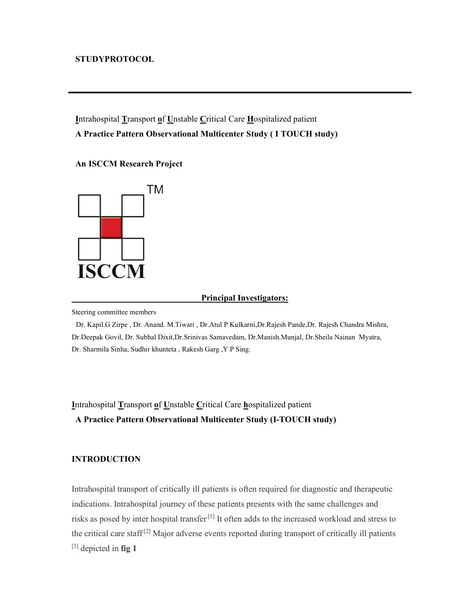## STUDYPROTOCOL

Intrahospital Transport of Unstable Critical Care Hospitalized patient A Practice Pattern Observational Multicenter Study ( I TOUCH study)

An ISCCM Research Project



#### Principal Investigators:

Steering committee members

 Dr. Kapil.G Zirpe , Dr. Anand. M.Tiwari , Dr.Atul P Kulkarni,Dr.Rajesh Pande,Dr. Rajesh Chandra Mishra, Dr.Deepak Govil, Dr. Subhal Dixit,Dr.Srinivas Samavedam, Dr.Manish.Munjal, Dr.Sheila Nainan Myatra, Dr. Sharmila Sinha, Sudhir khunteta , Rakesh Garg ,Y P Sing.

Intrahospital Transport of Unstable Critical Care hospitalized patient A Practice Pattern Observational Multicenter Study (I-TOUCH study)

# INTRODUCTION

Intrahospital transport of critically ill patients is often required for diagnostic and therapeutic indications. Intrahospital journey of these patients presents with the same challenges and risks as posed by inter hospital transfer.[1] It often adds to the increased workload and stress to the critical care staff<sup>[2]</sup> Major adverse events reported during transport of critically ill patients  $^{[3]}$  depicted in fig 1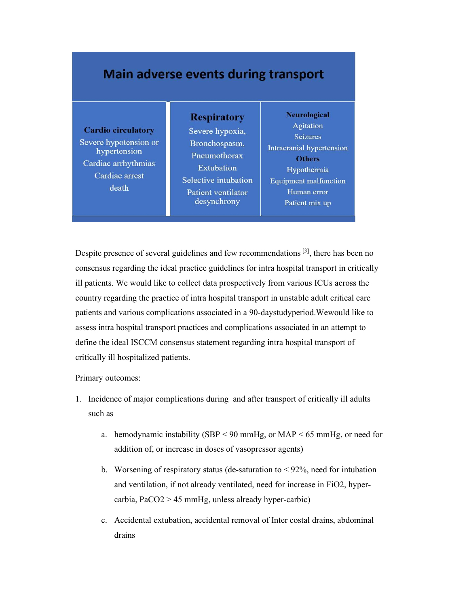# **Main adverse events during transport**

#### **Cardio circulatory**

Severe hypotension or hypertension Cardiac arrhythmias Cardiac arrest death

Severe hypoxia, Bronchospasm, Pneumothorax **Extubation** Selective intubation Patient ventilator desynchrony

**Respiratory** 

**Neurological Agitation** Seizures Intracranial hypertension **Others** Hypothermia **Equipment malfunction** Human error Patient mix up

Despite presence of several guidelines and few recommendations [3], there has been no consensus regarding the ideal practice guidelines for intra hospital transport in critically ill patients. We would like to collect data prospectively from various ICUs across the country regarding the practice of intra hospital transport in unstable adult critical care patients and various complications associated in a 90-daystudyperiod.Wewould like to assess intra hospital transport practices and complications associated in an attempt to define the ideal ISCCM consensus statement regarding intra hospital transport of critically ill hospitalized patients.

Primary outcomes:

- 1. Incidence of major complications during and after transport of critically ill adults such as
	- a. hemodynamic instability (SBP < 90 mmHg, or MAP < 65 mmHg, or need for addition of, or increase in doses of vasopressor agents)
	- b. Worsening of respiratory status (de-saturation to  $\leq 92\%$ , need for intubation and ventilation, if not already ventilated, need for increase in FiO2, hypercarbia, PaCO2 > 45 mmHg, unless already hyper-carbic)
	- c. Accidental extubation, accidental removal of Inter costal drains, abdominal drains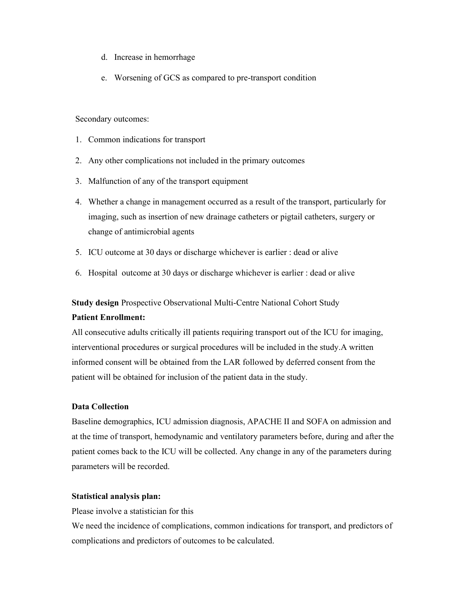- d. Increase in hemorrhage
- e. Worsening of GCS as compared to pre-transport condition

Secondary outcomes:

- 1. Common indications for transport
- 2. Any other complications not included in the primary outcomes
- 3. Malfunction of any of the transport equipment
- 4. Whether a change in management occurred as a result of the transport, particularly for imaging, such as insertion of new drainage catheters or pigtail catheters, surgery or change of antimicrobial agents
- 5. ICU outcome at 30 days or discharge whichever is earlier : dead or alive
- 6. Hospital outcome at 30 days or discharge whichever is earlier : dead or alive

Study design Prospective Observational Multi-Centre National Cohort Study

#### Patient Enrollment:

All consecutive adults critically ill patients requiring transport out of the ICU for imaging, interventional procedures or surgical procedures will be included in the study.A written informed consent will be obtained from the LAR followed by deferred consent from the patient will be obtained for inclusion of the patient data in the study.

# Data Collection

Baseline demographics, ICU admission diagnosis, APACHE II and SOFA on admission and at the time of transport, hemodynamic and ventilatory parameters before, during and after the patient comes back to the ICU will be collected. Any change in any of the parameters during parameters will be recorded.

## Statistical analysis plan:

Please involve a statistician for this

We need the incidence of complications, common indications for transport, and predictors of complications and predictors of outcomes to be calculated.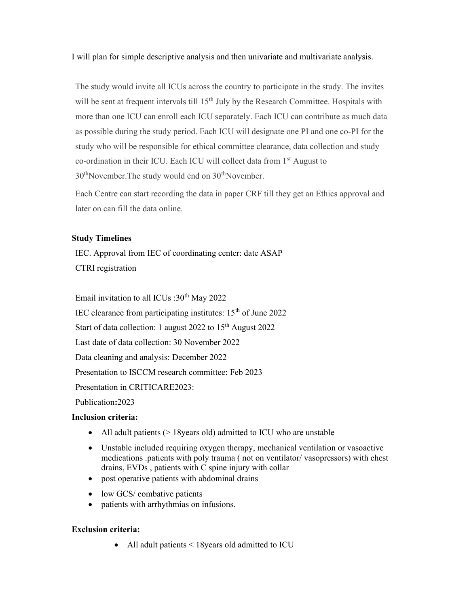I will plan for simple descriptive analysis and then univariate and multivariate analysis.

The study would invite all ICUs across the country to participate in the study. The invites will be sent at frequent intervals till 15<sup>th</sup> July by the Research Committee. Hospitals with more than one ICU can enroll each ICU separately. Each ICU can contribute as much data as possible during the study period. Each ICU will designate one PI and one co-PI for the study who will be responsible for ethical committee clearance, data collection and study co-ordination in their ICU. Each ICU will collect data from 1<sup>st</sup> August to  $30<sup>th</sup>$ November. The study would end on  $30<sup>th</sup>$ November.

Each Centre can start recording the data in paper CRF till they get an Ethics approval and later on can fill the data online.

# Study Timelines

IEC. Approval from IEC of coordinating center: date ASAP CTRI registration

Email invitation to all ICUs :  $30<sup>th</sup>$  May 2022

IEC clearance from participating institutes:  $15<sup>th</sup>$  of June 2022

Start of data collection: 1 august 2022 to  $15<sup>th</sup>$  August 2022

Last date of data collection: 30 November 2022

Data cleaning and analysis: December 2022

Presentation to ISCCM research committee: Feb 2023

Presentation in CRITICARE2023:

Publication:2023

# Inclusion criteria:

- All adult patients (> 18 years old) admitted to ICU who are unstable
- Unstable included requiring oxygen therapy, mechanical ventilation or vasoactive medications .patients with poly trauma ( not on ventilator/ vasopressors) with chest drains, EVDs , patients with C spine injury with collar
- post operative patients with abdominal drains
- low GCS/ combative patients
- patients with arrhythmias on infusions.

# Exclusion criteria:

• All adult patients < 18 years old admitted to ICU